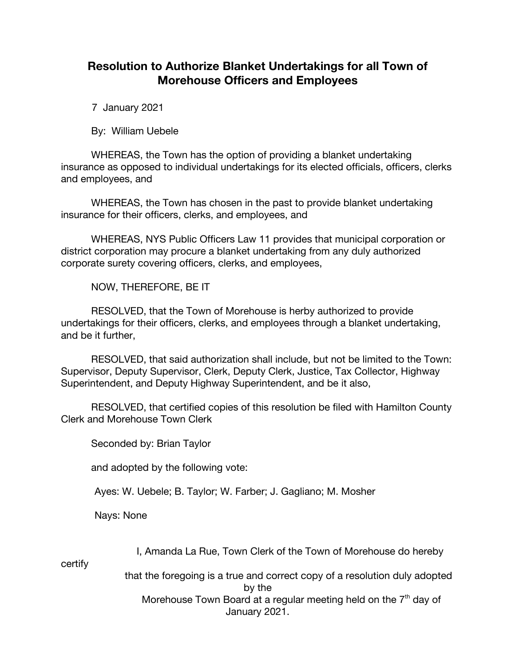## **Resolution to Authorize Blanket Undertakings for all Town of Morehouse Officers and Employees**

7 January 2021

By: William Uebele

WHEREAS, the Town has the option of providing a blanket undertaking insurance as opposed to individual undertakings for its elected officials, officers, clerks and employees, and

WHEREAS, the Town has chosen in the past to provide blanket undertaking insurance for their officers, clerks, and employees, and

WHEREAS, NYS Public Officers Law 11 provides that municipal corporation or district corporation may procure a blanket undertaking from any duly authorized corporate surety covering officers, clerks, and employees,

NOW, THEREFORE, BE IT

RESOLVED, that the Town of Morehouse is herby authorized to provide undertakings for their officers, clerks, and employees through a blanket undertaking, and be it further,

RESOLVED, that said authorization shall include, but not be limited to the Town: Supervisor, Deputy Supervisor, Clerk, Deputy Clerk, Justice, Tax Collector, Highway Superintendent, and Deputy Highway Superintendent, and be it also,

RESOLVED, that certified copies of this resolution be filed with Hamilton County Clerk and Morehouse Town Clerk

Seconded by: Brian Taylor

and adopted by the following vote:

Ayes: W. Uebele; B. Taylor; W. Farber; J. Gagliano; M. Mosher

Nays: None

I, Amanda La Rue, Town Clerk of the Town of Morehouse do hereby

certify

 that the foregoing is a true and correct copy of a resolution duly adopted by the Morehouse Town Board at a regular meeting held on the  $7<sup>th</sup>$  day of January 2021.